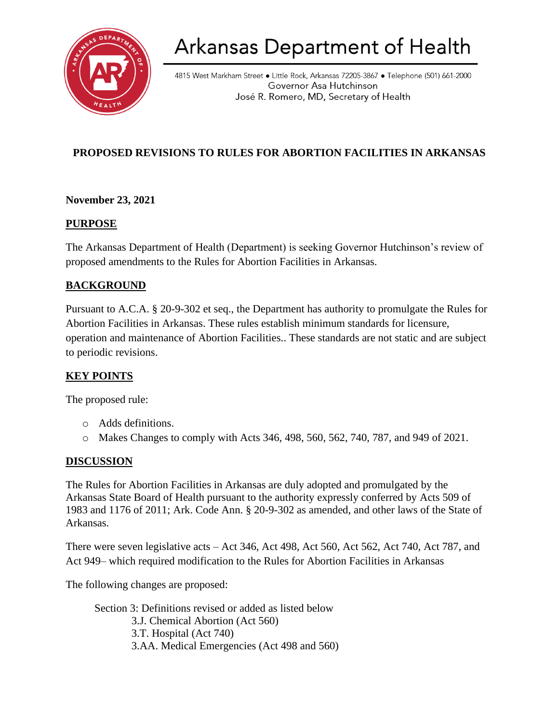

# Arkansas Department of Health

4815 West Markham Street • Little Rock, Arkansas 72205-3867 • Telephone (501) 661-2000 Governor Asa Hutchinson José R. Romero, MD, Secretary of Health

## **PROPOSED REVISIONS TO RULES FOR ABORTION FACILITIES IN ARKANSAS**

#### **November 23, 2021**

#### **PURPOSE**

The Arkansas Department of Health (Department) is seeking Governor Hutchinson's review of proposed amendments to the Rules for Abortion Facilities in Arkansas.

#### **BACKGROUND**

Pursuant to A.C.A. § 20-9-302 et seq., the Department has authority to promulgate the Rules for Abortion Facilities in Arkansas. These rules establish minimum standards for licensure, operation and maintenance of Abortion Facilities.. These standards are not static and are subject to periodic revisions.

#### **KEY POINTS**

The proposed rule:

- o Adds definitions.
- o Makes Changes to comply with Acts 346, 498, 560, 562, 740, 787, and 949 of 2021.

#### **DISCUSSION**

The Rules for Abortion Facilities in Arkansas are duly adopted and promulgated by the Arkansas State Board of Health pursuant to the authority expressly conferred by Acts 509 of 1983 and 1176 of 2011; Ark. Code Ann. § 20-9-302 as amended, and other laws of the State of Arkansas.

There were seven legislative acts – Act 346, Act 498, Act 560, Act 562, Act 740, Act 787, and Act 949– which required modification to the Rules for Abortion Facilities in Arkansas

The following changes are proposed:

Section 3: Definitions revised or added as listed below 3.J. Chemical Abortion (Act 560) 3.T. Hospital (Act 740) 3.AA. Medical Emergencies (Act 498 and 560)